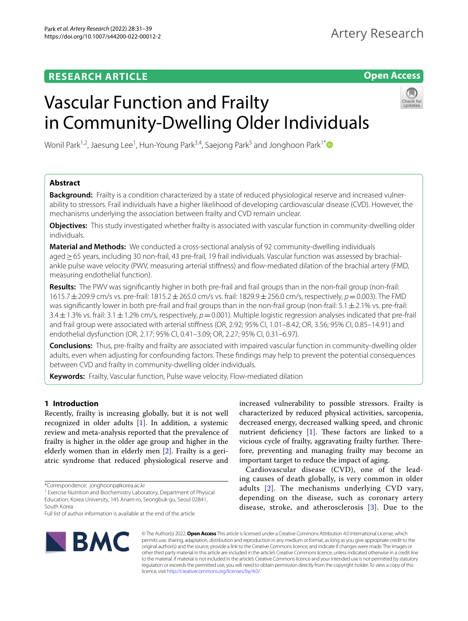## **RESEARCH ARTICLE**

**Open Access**

# Vascular Function and Frailty in Community-Dwelling Older Individuals



Wonil Park<sup>1,2</sup>, Jaesung Lee<sup>1</sup>, Hun-Young Park<sup>3,4</sup>, Saejong Park<sup>5</sup> and Jonghoon Park<sup>1[\\*](http://orcid.org/0000-0002-5994-399X)</sup>

## **Abstract**

**Background:** Frailty is a condition characterized by a state of reduced physiological reserve and increased vulnerability to stressors. Frail individuals have a higher likelihood of developing cardiovascular disease (CVD). However, the mechanisms underlying the association between frailty and CVD remain unclear.

**Objectives:** This study investigated whether frailty is associated with vascular function in community-dwelling older individuals.

**Material and Methods:** We conducted a cross-sectional analysis of 92 community-dwelling individuals aged≥65 years, including 30 non-frail, 43 pre-frail, 19 frail individuals. Vascular function was assessed by brachialankle pulse wave velocity (PWV, measuring arterial stiffness) and flow-mediated dilation of the brachial artery (FMD, measuring endothelial function).

**Results:** The PWV was signifcantly higher in both pre-frail and frail groups than in the non-frail group (non-frail: 1615.7±209.9 cm/s vs. pre-frail: 1815.2±265.0 cm/s vs. frail: 1829.9±256.0 cm/s, respectively, *p*=0.003). The FMD was significantly lower in both pre-frail and frail groups than in the non-frail group (non-frail:  $5.1 \pm 2.1\%$  vs. pre-frail:  $3.4 \pm 1.3$ % vs. frail:  $3.1 \pm 1.2$ % cm/s, respectively,  $p=0.001$ ). Multiple logistic regression analyses indicated that pre-frail and frail group were associated with arterial stifness (OR, 2.92; 95% CI, 1.01–8.42; OR, 3.56; 95% CI, 0.85–14.91) and endothelial dysfunction (OR, 2.17; 95% CI, 0.41–3.09; OR, 2.27; 95% CI, 0.31–6.97).

**Conclusions:** Thus, pre-frailty and frailty are associated with impaired vascular function in community-dwelling older adults, even when adjusting for confounding factors. These fndings may help to prevent the potential consequences between CVD and frailty in community-dwelling older individuals.

**Keywords:** Frailty, Vascular function, Pulse wave velocity, Flow-mediated dilation

## **1 Introduction**

Recently, frailty is increasing globally, but it is not well recognized in older adults [\[1](#page-7-0)]. In addition, a systemic review and meta-analysis reported that the prevalence of frailty is higher in the older age group and higher in the elderly women than in elderly men [\[2](#page-7-1)]. Frailty is a geriatric syndrome that reduced physiological reserve and increased vulnerability to possible stressors. Frailty is characterized by reduced physical activities, sarcopenia, decreased energy, decreased walking speed, and chronic nutrient deficiency  $[1]$  $[1]$  $[1]$ . These factors are linked to a vicious cycle of frailty, aggravating frailty further. Therefore, preventing and managing frailty may become an important target to reduce the impact of aging.

Cardiovascular disease (CVD), one of the leading causes of death globally, is very common in older adults [[2](#page-7-1)]. The mechanisms underlying CVD vary, depending on the disease, such as coronary artery disease, stroke, and atherosclerosis [\[3](#page-7-2)]. Due to the



© The Author(s) 2022. **Open Access** This article is licensed under a Creative Commons Attribution 4.0 International License, which permits use, sharing, adaptation, distribution and reproduction in any medium or format, as long as you give appropriate credit to the original author(s) and the source, provide a link to the Creative Commons licence, and indicate if changes were made. The images or other third party material in this article are included in the article's Creative Commons licence, unless indicated otherwise in a credit line to the material. If material is not included in the article's Creative Commons licence and your intended use is not permitted by statutory regulation or exceeds the permitted use, you will need to obtain permission directly from the copyright holder. To view a copy of this licence, visit [http://creativecommons.org/licenses/by/4.0/.](http://creativecommons.org/licenses/by/4.0/)

<sup>\*</sup>Correspondence: jonghoonp@korea.ac.kr

<sup>&</sup>lt;sup>1</sup> Exercise Nutrition and Biochemistry Laboratory, Department of Physical Education, Korea University, 145 Anam‑ro, Seongbuk‑gu, Seoul 02841, South Korea

Full list of author information is available at the end of the article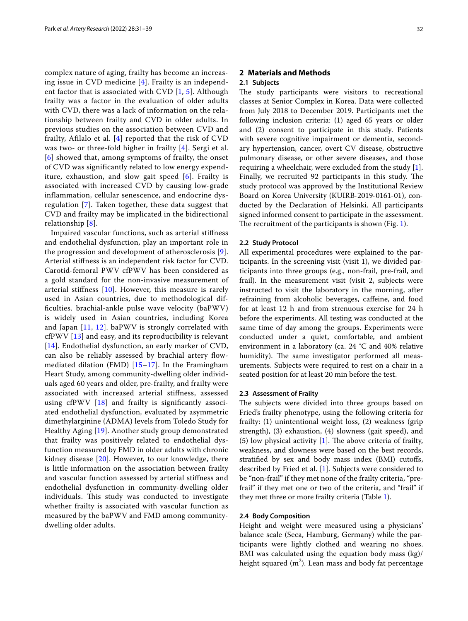complex nature of aging, frailty has become an increasing issue in CVD medicine [\[4](#page-7-3)]. Frailty is an independent factor that is associated with CVD [[1,](#page-7-0) [5\]](#page-7-4). Although frailty was a factor in the evaluation of older adults with CVD, there was a lack of information on the relationship between frailty and CVD in older adults. In previous studies on the association between CVD and frailty, Afilalo et al. [[4\]](#page-7-3) reported that the risk of CVD was two- or three-fold higher in frailty [[4](#page-7-3)]. Sergi et al. [[6](#page-7-5)] showed that, among symptoms of frailty, the onset of CVD was significantly related to low energy expenditure, exhaustion, and slow gait speed [[6](#page-7-5)]. Frailty is associated with increased CVD by causing low-grade inflammation, cellular senescence, and endocrine dysregulation [[7](#page-7-6)]. Taken together, these data suggest that CVD and frailty may be implicated in the bidirectional relationship [[8\]](#page-7-7).

Impaired vascular functions, such as arterial stifness and endothelial dysfunction, play an important role in the progression and development of atherosclerosis [[9\]](#page-7-8). Arterial stifness is an independent risk factor for CVD. Carotid-femoral PWV cfPWV has been considered as a gold standard for the non-invasive measurement of arterial stiffness  $[10]$  $[10]$  $[10]$ . However, this measure is rarely used in Asian countries, due to methodological diffculties. brachial-ankle pulse wave velocity (baPWV) is widely used in Asian countries, including Korea and Japan [[11](#page-7-10), [12\]](#page-7-11). baPWV is strongly correlated with cfPWV [\[13\]](#page-7-12) and easy, and its reproducibility is relevant [[14](#page-7-13)]. Endothelial dysfunction, an early marker of CVD, can also be reliably assessed by brachial artery flowmediated dilation (FMD) [\[15–](#page-7-14)[17\]](#page-7-15). In the Framingham Heart Study, among community-dwelling older individuals aged 60 years and older, pre-frailty, and frailty were associated with increased arterial stifness, assessed using cfPWV [[18\]](#page-7-16) and frailty is signifcantly associated endothelial dysfunction, evaluated by asymmetric dimethylarginine (ADMA) levels from Toledo Study for Healthy Aging [\[19](#page-7-17)]. Another study group demonstrated that frailty was positively related to endothelial dysfunction measured by FMD in older adults with chronic kidney disease [\[20](#page-7-18)]. However, to our knowledge, there is little information on the association between frailty and vascular function assessed by arterial stifness and endothelial dysfunction in community-dwelling older individuals. This study was conducted to investigate whether frailty is associated with vascular function as measured by the baPWV and FMD among communitydwelling older adults.

## **2 Materials and Methods**

## **2.1 Subjects**

The study participants were visitors to recreational classes at Senior Complex in Korea. Data were collected from July 2018 to December 2019. Participants met the following inclusion criteria: (1) aged 65 years or older and (2) consent to participate in this study. Patients with severe cognitive impairment or dementia, secondary hypertension, cancer, overt CV disease, obstructive pulmonary disease, or other severe diseases, and those requiring a wheelchair, were excluded from the study [\[1](#page-7-0)]. Finally, we recruited 92 participants in this study. The study protocol was approved by the Institutional Review Board on Korea University (KUIRB-2019-0161-01), conducted by the Declaration of Helsinki. All participants signed informed consent to participate in the assessment. The recruitment of the participants is shown (Fig. [1](#page-2-0)).

## **2.2 Study Protocol**

All experimental procedures were explained to the participants. In the screening visit (visit 1), we divided participants into three groups (e.g., non-frail, pre-frail, and frail). In the measurement visit (visit 2, subjects were instructed to visit the laboratory in the morning, after refraining from alcoholic beverages, cafeine, and food for at least 12 h and from strenuous exercise for 24 h before the experiments. All testing was conducted at the same time of day among the groups. Experiments were conducted under a quiet, comfortable, and ambient environment in a laboratory (ca. 24 °C and 40% relative humidity). The same investigator performed all measurements. Subjects were required to rest on a chair in a seated position for at least 20 min before the test.

## **2.3 Assessment of Frailty**

The subjects were divided into three groups based on Fried's frailty phenotype, using the following criteria for frailty: (1) unintentional weight loss, (2) weakness (grip strength), (3) exhaustion, (4) slowness (gait speed), and (5) low physical activity  $[1]$  $[1]$  $[1]$ . The above criteria of frailty, weakness, and slowness were based on the best records, stratifed by sex and body mass index (BMI) cutofs, described by Fried et al. [[1\]](#page-7-0). Subjects were considered to be "non-frail" if they met none of the frailty criteria, "prefrail" if they met one or two of the criteria, and "frail" if they met three or more frailty criteria (Table [1\)](#page-2-1).

## **2.4 Body Composition**

Height and weight were measured using a physicians' balance scale (Seca, Hamburg, Germany) while the participants were lightly clothed and wearing no shoes. BMI was calculated using the equation body mass (kg)/ height squared  $(m^2)$ . Lean mass and body fat percentage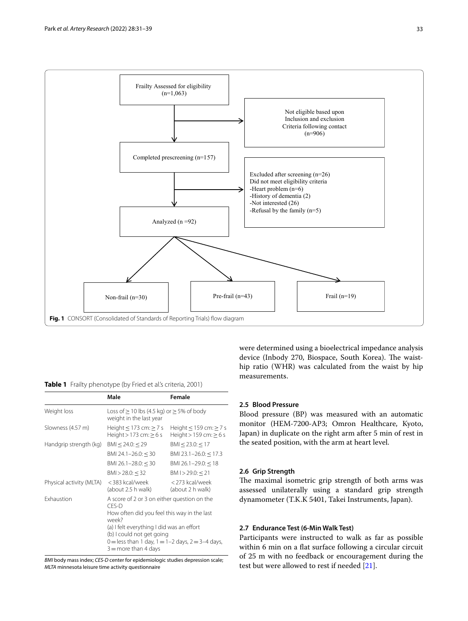

## <span id="page-2-1"></span><span id="page-2-0"></span>**Table 1** Frailty phenotype (by Fried et al.'s criteria, 2001)

|                          | Male                                                                                                                                                                                                                                                                         | Female                                                         |  |
|--------------------------|------------------------------------------------------------------------------------------------------------------------------------------------------------------------------------------------------------------------------------------------------------------------------|----------------------------------------------------------------|--|
| Weight loss              | Loss of $\geq$ 10 lbs (4.5 kg) or $\geq$ 5% of body<br>weight in the last year                                                                                                                                                                                               |                                                                |  |
| Slowness (4.57 m)        | Height $\leq$ 173 cm: $\geq$ 7 s<br>Height $>$ 173 cm: $>$ 6 s                                                                                                                                                                                                               | Height $\leq$ 159 cm: $\geq$ 7 s<br>Height $> 159$ cm: $> 6$ s |  |
| Handgrip strength (kg)   | BMI < 24.0: < 29                                                                                                                                                                                                                                                             | BMI < 23.0: < 17                                               |  |
|                          | BMI 24.1-26.0: $<$ 30                                                                                                                                                                                                                                                        | BMI 23.1-26.0: $<$ 17.3                                        |  |
|                          | BMI 26.1-28.0: $<$ 30                                                                                                                                                                                                                                                        | BMI 26.1-29.0: $<$ 18                                          |  |
|                          | BMI > 28.0: < 32                                                                                                                                                                                                                                                             | BM I > 29.0: < 21                                              |  |
| Physical activity (MLTA) | < 383 kcal/week<br>(about 2.5 h walk)                                                                                                                                                                                                                                        | <273 kcal/week<br>(about 2 h walk)                             |  |
| <b>Exhaustion</b>        | A score of 2 or 3 on either question on the<br>CES-D<br>How often did you feel this way in the last<br>week?<br>(a) I felt everything I did was an effort<br>(b) I could not get going<br>0 = less than 1 day, $1 = 1 - 2$ days, $2 = 3 - 4$ days,<br>$3 =$ more than 4 days |                                                                |  |

*BMI* body mass index; *CES-D* center for epidemiologic studies depression scale; *MLTA* minnesota leisure time activity questionnaire

were determined using a bioelectrical impedance analysis device (Inbody 270, Biospace, South Korea). The waisthip ratio (WHR) was calculated from the waist by hip measurements.

## **2.5 Blood Pressure**

Blood pressure (BP) was measured with an automatic monitor (HEM-7200-AP3; Omron Healthcare, Kyoto, Japan) in duplicate on the right arm after 5 min of rest in the seated position, with the arm at heart level.

## **2.6 Grip Strength**

The maximal isometric grip strength of both arms was assessed unilaterally using a standard grip strength dynamometer (T.K.K 5401, Takei Instruments, Japan).

## **2.7 Endurance Test (6‑Min Walk Test)**

Participants were instructed to walk as far as possible within 6 min on a flat surface following a circular circuit of 25 m with no feedback or encouragement during the test but were allowed to rest if needed [[21\]](#page-7-19).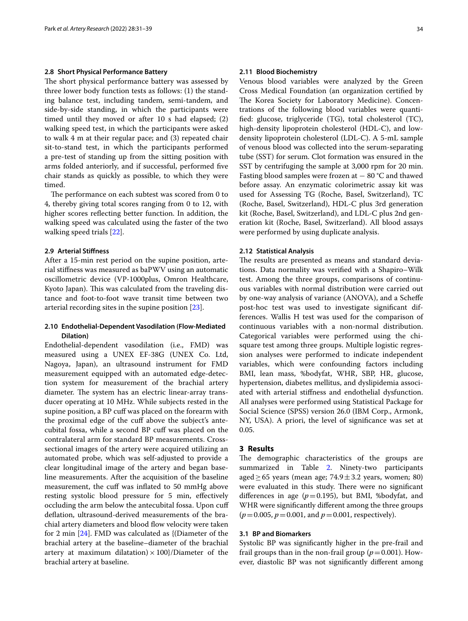## **2.8 Short Physical Performance Battery**

The short physical performance battery was assessed by three lower body function tests as follows: (1) the standing balance test, including tandem, semi-tandem, and side-by-side standing, in which the participants were timed until they moved or after 10 s had elapsed; (2) walking speed test, in which the participants were asked to walk 4 m at their regular pace; and (3) repeated chair sit-to-stand test, in which the participants performed a pre-test of standing up from the sitting position with arms folded anteriorly, and if successful, performed fve chair stands as quickly as possible, to which they were timed.

The performance on each subtest was scored from 0 to 4, thereby giving total scores ranging from 0 to 12, with higher scores refecting better function. In addition, the walking speed was calculated using the faster of the two walking speed trials [[22\]](#page-7-20).

## **2.9 Arterial Stifness**

After a 15-min rest period on the supine position, arterial stifness was measured as baPWV using an automatic oscillometric device (VP-1000plus, Omron Healthcare, Kyoto Japan). This was calculated from the traveling distance and foot-to-foot wave transit time between two arterial recording sites in the supine position [[23](#page-7-21)].

## **2.10 Endothelial‑Dependent Vasodilation (Flow‑Mediated Dilation)**

Endothelial-dependent vasodilation (i.e., FMD) was measured using a UNEX EF-38G (UNEX Co. Ltd, Nagoya, Japan), an ultrasound instrument for FMD measurement equipped with an automated edge-detection system for measurement of the brachial artery diameter. The system has an electric linear-array transducer operating at 10 MHz. While subjects rested in the supine position, a BP cuff was placed on the forearm with the proximal edge of the cuf above the subject's antecubital fossa, while a second BP cuf was placed on the contralateral arm for standard BP measurements. Crosssectional images of the artery were acquired utilizing an automated probe, which was self-adjusted to provide a clear longitudinal image of the artery and began baseline measurements. After the acquisition of the baseline measurement, the cuff was inflated to 50 mmHg above resting systolic blood pressure for 5 min, efectively occluding the arm below the antecubital fossa. Upon cuf defation, ultrasound-derived measurements of the brachial artery diameters and blood flow velocity were taken for 2 min [[24\]](#page-7-22). FMD was calculated as {(Diameter of the brachial artery at the baseline–diameter of the brachial artery at maximum dilatation)  $\times$  100}/Diameter of the brachial artery at baseline.

#### **2.11 Blood Biochemistry**

Venous blood variables were analyzed by the Green Cross Medical Foundation (an organization certifed by The Korea Society for Laboratory Medicine). Concentrations of the following blood variables were quantifed: glucose, triglyceride (TG), total cholesterol (TC), high-density lipoprotein cholesterol (HDL-C), and lowdensity lipoprotein cholesterol (LDL-C). A 5-mL sample of venous blood was collected into the serum-separating tube (SST) for serum. Clot formation was ensured in the SST by centrifuging the sample at 3,000 rpm for 20 min. Fasting blood samples were frozen at − 80 °C and thawed before assay. An enzymatic colorimetric assay kit was used for Assessing TG (Roche, Basel, Switzerland), TC (Roche, Basel, Switzerland), HDL-C plus 3rd generation kit (Roche, Basel, Switzerland), and LDL-C plus 2nd generation kit (Roche, Basel, Switzerland). All blood assays were performed by using duplicate analysis.

## **2.12 Statistical Analysis**

The results are presented as means and standard deviations. Data normality was verifed with a Shapiro–Wilk test. Among the three groups, comparisons of continuous variables with normal distribution were carried out by one-way analysis of variance (ANOVA), and a Schefe post-hoc test was used to investigate signifcant differences. Wallis H test was used for the comparison of continuous variables with a non-normal distribution. Categorical variables were performed using the chisquare test among three groups. Multiple logistic regression analyses were performed to indicate independent variables, which were confounding factors including BMI, lean mass, %bodyfat, WHR, SBP, HR, glucose, hypertension, diabetes mellitus, and dyslipidemia associated with arterial stifness and endothelial dysfunction. All analyses were performed using Statistical Package for Social Science (SPSS) version 26.0 (IBM Corp., Armonk, NY, USA). A priori, the level of signifcance was set at 0.05.

## **3 Results**

The demographic characteristics of the groups are summarized in Table [2.](#page-4-0) Ninety-two participants aged  $\geq 65$  years (mean age; 74.9  $\pm$  3.2 years, women; 80) were evaluated in this study. There were no significant differences in age  $(p=0.195)$ , but BMI, %bodyfat, and WHR were signifcantly diferent among the three groups  $(p=0.005, p=0.001, \text{ and } p=0.001, \text{ respectively}).$ 

#### **3.1 BP and Biomarkers**

Systolic BP was signifcantly higher in the pre-frail and frail groups than in the non-frail group  $(p=0.001)$ . However, diastolic BP was not signifcantly diferent among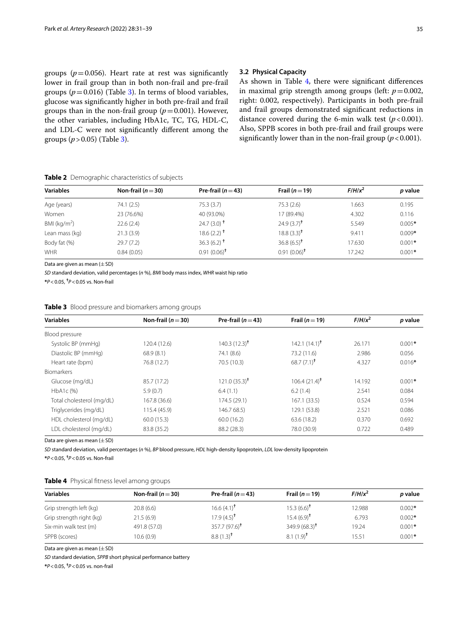and LDL-C were not signifcantly diferent among the

## **3.2 Physical Capacity**

As shown in Table [4](#page-4-2), there were significant differences in maximal grip strength among groups (left:  $p = 0.002$ , right: 0.002, respectively). Participants in both pre-frail and frail groups demonstrated signifcant reductions in distance covered during the 6-min walk test  $(p < 0.001)$ . Also, SPPB scores in both pre-frail and frail groups were significantly lower than in the non-frail group  $(p < 0.001)$ .

#### <span id="page-4-0"></span>**Table 2** Demographic characteristics of subjects

| <b>Variables</b> | Non-frail ( $n = 30$ ) | Pre-frail $(n=43)$       | Frail $(n=19)$         | $F/H/x^2$ | p value  |
|------------------|------------------------|--------------------------|------------------------|-----------|----------|
| Age (years)      | 74.1 (2.5)             | 75.3(3.7)                | 75.3(2.6)              | 1.663     | 0.195    |
| Women            | 23 (76.6%)             | 40 (93.0%)               | 17 (89.4%)             | 4.302     | 0.116    |
| BMI ( $kg/m2$ )  | 22.6(2.4)              | $24.7(3.0)$ <sup>+</sup> | $24.9(3.7)^{\dagger}$  | 5.549     | $0.005*$ |
| Lean mass (kg)   | 21.3(3.9)              | $18.6(2.2)^{+}$          | $18.8(3.3)^{\dagger}$  | 9.411     | $0.009*$ |
| Body fat (%)     | 29.7(7.2)              | 36.3 (6.2) <sup>†</sup>  | $36.8(6.5)^{\dagger}$  | 17.630    | $0.001*$ |
| <b>WHR</b>       | 0.84(0.05)             | $0.91(0.06)^{\dagger}$   | $0.91(0.06)^{\dagger}$ | 17.242    | $0.001*$ |

Data are given as mean  $(\pm$  SD)

groups  $(p > 0.05)$  (Table [3\)](#page-4-1).

*SD* standard deviation, valid percentages (*n* %), *BMI* body mass index, *WHR* waist hip ratio

**\****P*<0.05, **†** *P*<0.05 vs. Non-frail

## <span id="page-4-1"></span>**Table 3** Blood pressure and biomarkers among groups

| <b>Variables</b>          | Non-frail ( $n = 30$ ) | Pre-frail $(n=43)$      | Frail $(n=19)$          | $F/H/x^2$ | p value  |
|---------------------------|------------------------|-------------------------|-------------------------|-----------|----------|
| Blood pressure            |                        |                         |                         |           |          |
| Systolic BP (mmHg)        | 120.4 (12.6)           | $140.3(12.3)^{\dagger}$ | $142.1(14.1)^{\dagger}$ | 26.171    | $0.001*$ |
| Diastolic BP (mmHg)       | 68.9(8.1)              | 74.1 (8.6)              | 73.2 (11.6)             | 2.986     | 0.056    |
| Heart rate (bpm)          | 76.8 (12.7)            | 70.5 (10.3)             | $68.7(7.1)^{\dagger}$   | 4.327     | $0.016*$ |
| <b>Biomarkers</b>         |                        |                         |                         |           |          |
| Glucose (mg/dL)           | 85.7 (17.2)            | $121.0(35.3)^{\dagger}$ | $106.4(21.4)^{\dagger}$ | 14.192    | $0.001*$ |
| HbA1c (%)                 | 5.9(0.7)               | 6.4(1.1)                | 6.2(1.4)                | 2.541     | 0.084    |
| Total cholesterol (mg/dL) | 167.8 (36.6)           | 174.5 (29.1)            | 167.1(33.5)             | 0.524     | 0.594    |
| Triglycerides (mg/dL)     | 115.4 (45.9)           | 146.7 68.5)             | 129.1 (53.8)            | 2.521     | 0.086    |
| HDL cholesterol (mg/dL)   | 60.0(15.3)             | 60.0(16.2)              | 63.6 (18.2)             | 0.370     | 0.692    |
| LDL cholesterol (mg/dL)   | 83.8 (35.2)            | 88.2 (28.3)             | 78.0 (30.9)             | 0.722     | 0.489    |

Data are given as mean  $(\pm$  SD)

*SD* standard deviation, valid percentages (*n* %), *BP* blood pressure, *HDL* high-density lipoprotein, *LDL* low-density lipoprotein

**\****P*<0.05, **†** *P*<0.05 vs. Non-frail

## <span id="page-4-2"></span>**Table 4** Physical ftness level among groups

| <b>Variables</b>         | Non-frail ( $n = 30$ ) | Pre-frail $(n=43)$      | Frail $(n=19)$          | $F/H/x^2$ | <i>p</i> value |
|--------------------------|------------------------|-------------------------|-------------------------|-----------|----------------|
| Grip strength left (kg)  | 20.8(6.6)              | $16.6(4.1)^{\dagger}$   | $15.3(6.6)^{\dagger}$   | 12.988    | $0.002*$       |
| Grip strength right (kg) | 21.5(6.9)              | $17.9(4.5)^{\dagger}$   | $15.4(6.9)^{\dagger}$   | 6.793     | $0.002*$       |
| Six-min walk test (m)    | 491.8 (57.0)           | $357.7(97.6)^{\dagger}$ | $349.9(68.3)^{\dagger}$ | 19.24     | $0.001*$       |
| SPPB (scores)            | 10.6(0.9)              | $8.8(1.3)^{\dagger}$    | $8.1(1.9)^{\dagger}$    | 15.51     | $0.001*$       |

Data are given as mean  $(\pm$  SD)

*SD* standard deviation, *SPPB* short physical performance battery

**\****P*<0.05, **†** *P*<0.05 vs. non-frail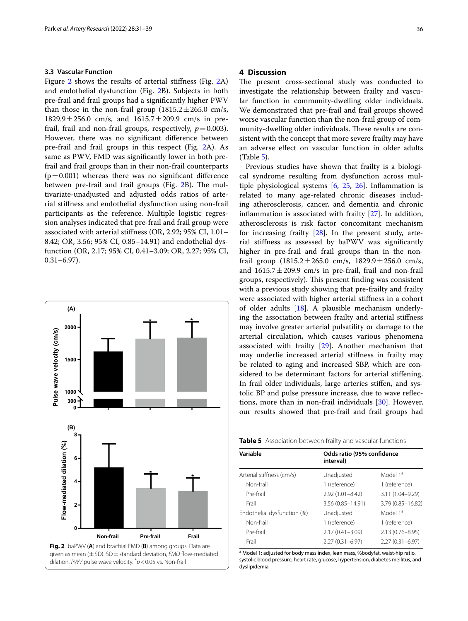## **3.3 Vascular Function**

Figure [2](#page-5-0) shows the results of arterial stiffness (Fig. 2A) and endothelial dysfunction (Fig. [2](#page-5-0)B). Subjects in both pre-frail and frail groups had a signifcantly higher PWV than those in the non-frail group  $(1815.2 \pm 265.0 \text{ cm/s})$  $1829.9 \pm 256.0$  cm/s, and  $1615.7 \pm 209.9$  cm/s in prefrail, frail and non-frail groups, respectively,  $p = 0.003$ ). However, there was no signifcant diference between pre-frail and frail groups in this respect (Fig. [2A](#page-5-0)). As same as PWV, FMD was signifcantly lower in both prefrail and frail groups than in their non-frail counterparts  $(p=0.001)$  whereas there was no significant difference between pre-frail and frail groups (Fig. [2B](#page-5-0)). The multivariate-unadjusted and adjusted odds ratios of arterial stifness and endothelial dysfunction using non-frail participants as the reference. Multiple logistic regression analyses indicated that pre-frail and frail group were associated with arterial stifness (OR, 2.92; 95% CI, 1.01– 8.42; OR, 3.56; 95% CI, 0.85–14.91) and endothelial dysfunction (OR, 2.17; 95% CI, 0.41–3.09; OR, 2.27; 95% CI, 0.31–6.97).



## **4 Discussion**

The present cross-sectional study was conducted to investigate the relationship between frailty and vascular function in community-dwelling older individuals. We demonstrated that pre-frail and frail groups showed worse vascular function than the non-frail group of community-dwelling older individuals. These results are consistent with the concept that more severe frailty may have an adverse efect on vascular function in older adults (Table [5\)](#page-5-1).

Previous studies have shown that frailty is a biological syndrome resulting from dysfunction across multiple physiological systems [\[6](#page-7-5), [25,](#page-7-23) [26](#page-7-24)]. Infammation is related to many age-related chronic diseases including atherosclerosis, cancer, and dementia and chronic infammation is associated with frailty [\[27](#page-7-25)]. In addition, atherosclerosis is risk factor concomitant mechanism for increasing frailty [[28](#page-7-26)]. In the present study, arterial stifness as assessed by baPWV was signifcantly higher in pre-frail and frail groups than in the nonfrail group  $(1815.2 \pm 265.0 \text{ cm/s}, 1829.9 \pm 256.0 \text{ cm/s},$ and  $1615.7 \pm 209.9$  cm/s in pre-frail, frail and non-frail groups, respectively). This present finding was consistent with a previous study showing that pre-frailty and frailty were associated with higher arterial stifness in a cohort of older adults [\[18](#page-7-16)]. A plausible mechanism underlying the association between frailty and arterial stifness may involve greater arterial pulsatility or damage to the arterial circulation, which causes various phenomena associated with frailty [[29\]](#page-8-0). Another mechanism that may underlie increased arterial stifness in frailty may be related to aging and increased SBP, which are considered to be determinant factors for arterial stifening. In frail older individuals, large arteries stifen, and systolic BP and pulse pressure increase, due to wave refections, more than in non-frail individuals [\[30](#page-8-1)]. However, our results showed that pre-frail and frail groups had **<sup>0</sup>**

<span id="page-5-1"></span>

| Variable                    | Odds ratio (95% confidence<br>interval) |                      |  |
|-----------------------------|-----------------------------------------|----------------------|--|
| Arterial stiffness (cm/s)   | Unadjusted                              | Model 1 <sup>a</sup> |  |
| Non-frail                   | 1 (reference)                           | 1 (reference)        |  |
| Pre-frail                   | $2.92(1.01 - 8.42)$                     | 3.11 (1.04-9.29)     |  |
| Frail                       | 3.56 (0.85-14.91)                       | 3.79 (0.85-16.82)    |  |
| Endothelial dysfunction (%) | Unadjusted                              | Model 1ª             |  |
| Non-frail                   | 1 (reference)                           | 1 (reference)        |  |
| Pre-frail                   | $2.17(0.41 - 3.09)$                     | 2.13 (0.76-8.95)     |  |
| Frail                       | $2.27(0.31 - 6.97)$                     | $2.27(0.31 - 6.97)$  |  |

<span id="page-5-0"></span><sup>a</sup> Model 1: adjusted for body mass index, lean mass, %bodyfat, waist-hip ratio, systolic blood pressure, heart rate, glucose, hypertension, diabetes mellitus, and dyslipidemia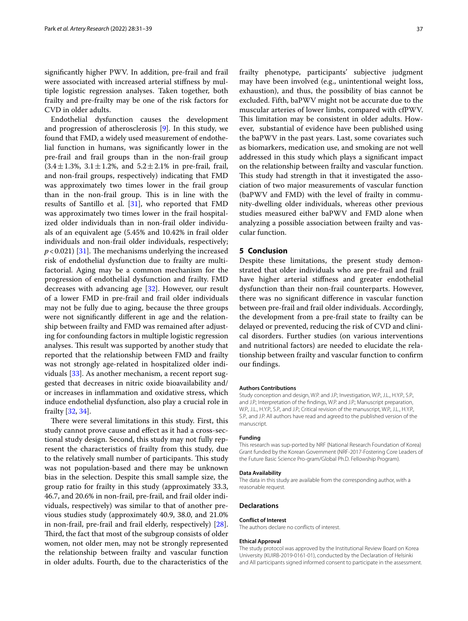signifcantly higher PWV. In addition, pre-frail and frail were associated with increased arterial stifness by multiple logistic regression analyses. Taken together, both frailty and pre-frailty may be one of the risk factors for CVD in older adults.

Endothelial dysfunction causes the development and progression of atherosclerosis [[9](#page-7-8)]. In this study, we found that FMD, a widely used measurement of endothelial function in humans, was signifcantly lower in the pre-frail and frail groups than in the non-frail group  $(3.4 \pm 1.3\%, 3.1 \pm 1.2\%, \text{ and } 5.2 \pm 2.1\% \text{ in pre-frail, }$  frail, and non-frail groups, respectively) indicating that FMD was approximately two times lower in the frail group than in the non-frail group. This is in line with the results of Santillo et al. [\[31\]](#page-8-2), who reported that FMD was approximately two times lower in the frail hospitalized older individuals than in non-frail older individuals of an equivalent age (5.45% and 10.42% in frail older individuals and non-frail older individuals, respectively;  $p$  < 0.021) [\[31](#page-8-2)]. The mechanisms underlying the increased risk of endothelial dysfunction due to frailty are multifactorial. Aging may be a common mechanism for the progression of endothelial dysfunction and frailty. FMD decreases with advancing age [[32\]](#page-8-3). However, our result of a lower FMD in pre-frail and frail older individuals may not be fully due to aging, because the three groups were not signifcantly diferent in age and the relationship between frailty and FMD was remained after adjusting for confounding factors in multiple logistic regression analyses. This result was supported by another study that reported that the relationship between FMD and frailty was not strongly age-related in hospitalized older individuals [\[33](#page-8-4)]. As another mechanism, a recent report suggested that decreases in nitric oxide bioavailability and/ or increases in infammation and oxidative stress, which induce endothelial dysfunction, also play a crucial role in frailty [\[32](#page-8-3), [34\]](#page-8-5).

There were several limitations in this study. First, this study cannot prove cause and efect as it had a cross-sectional study design. Second, this study may not fully represent the characteristics of frailty from this study, due to the relatively small number of participants. This study was not population-based and there may be unknown bias in the selection. Despite this small sample size, the group ratio for frailty in this study (approximately 33.3, 46.7, and 20.6% in non-frail, pre-frail, and frail older individuals, respectively) was similar to that of another previous studies study (approximately 40.9, 38.0, and 21.0% in non-frail, pre-frail and frail elderly, respectively) [\[28](#page-7-26)]. Third, the fact that most of the subgroup consists of older women, not older men, may not be strongly represented the relationship between frailty and vascular function in older adults. Fourth, due to the characteristics of the frailty phenotype, participants' subjective judgment may have been involved (e.g., unintentional weight loss, exhaustion), and thus, the possibility of bias cannot be excluded. Fifth, baPWV might not be accurate due to the muscular arteries of lower limbs, compared with cfPWV. This limitation may be consistent in older adults. However, substantial of evidence have been published using the baPWV in the past years. Last, some covariates such as biomarkers, medication use, and smoking are not well addressed in this study which plays a signifcant impact on the relationship between frailty and vascular function. This study had strength in that it investigated the association of two major measurements of vascular function (baPWV and FMD) with the level of frailty in community-dwelling older individuals, whereas other previous studies measured either baPWV and FMD alone when analyzing a possible association between frailty and vascular function.

## **5 Conclusion**

Despite these limitations, the present study demonstrated that older individuals who are pre-frail and frail have higher arterial stifness and greater endothelial dysfunction than their non-frail counterparts. However, there was no signifcant diference in vascular function between pre-frail and frail older individuals. Accordingly, the development from a pre-frail state to frailty can be delayed or prevented, reducing the risk of CVD and clinical disorders. Further studies (on various interventions and nutritional factors) are needed to elucidate the relationship between frailty and vascular function to confrm our fndings.

#### **Authors Contributions**

Study conception and design, W.P. and J.P.; Investigation, W.P., J.L., H.Y.P., S.P., and J.P.; Interpretation of the fndings, W.P. and J.P.; Manuscript preparation, W.P., J.L., H.Y.P., S.P., and J.P.; Critical revision of the manuscript, W.P., J.L., H.Y.P., S.P., and J.P. All authors have read and agreed to the published version of the manuscript.

#### **Funding**

This research was sup-ported by NRF (National Research Foundation of Korea) Grant funded by the Korean Government (NRF-2017-Fostering Core Leaders of the Future Basic Science Pro-gram/Global Ph.D. Fellowship Program).

#### **Data Availability**

The data in this study are available from the corresponding author, with a reasonable request.

#### **Declarations**

#### **Conflict of Interest**

The authors declare no conficts of interest.

#### **Ethical Approval**

The study protocol was approved by the Institutional Review Board on Korea University (KUIRB-2019-0161-01), conducted by the Declaration of Helsinki and All participants signed informed consent to participate in the assessment.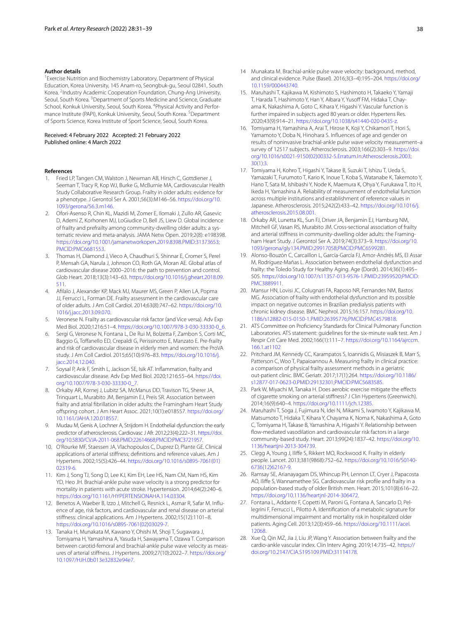#### **Author details**

<sup>1</sup> Exercise Nutrition and Biochemistry Laboratory, Department of Physical Education, Korea University, 145 Anam‑ro, Seongbuk‑gu, Seoul 02841, South Korea. <sup>2</sup>Industry Academic Cooperation Foundation, Chung-Ang University, Seoul, South Korea. <sup>3</sup> Department of Sports Medicine and Science, Graduate School, Konkuk University, Seoul, South Korea. <sup>4</sup>Physical Activity and Performance Institute (PAPI), Konkuk University, Seoul, South Korea. <sup>5</sup>Department of Sports Science, Korea Institute of Sport Science, Seoul, South Korea.

#### Received: 4 February 2022 Accepted: 21 February 2022 Published online: 4 March 2022

#### **References**

- <span id="page-7-0"></span>1. Fried LP, Tangen CM, Walston J, Newman AB, Hirsch C, Gottdiener J, Seeman T, Tracy R, Kop WJ, Burke G, McBurnie MA, Cardiovascular Health Study Collaborative Research Group. Frailty in older adults: evidence for a phenotype. J Gerontol Ser A. 2001;56(3):M146–56. [https://doi.org/10.](https://doi.org/10.1093/gerona/56.3.m146) [1093/gerona/56.3.m146.](https://doi.org/10.1093/gerona/56.3.m146)
- <span id="page-7-1"></span>2. Ofori-Asenso R, Chin KL, Mazidi M, Zomer E, Ilomaki J, Zullo AR, Gasevic D, Ademi Z, Korhonen MJ, LoGiudice D, Bell JS, Liew D. Global incidence of frailty and prefrailty among community-dwelling older adults: a systematic review and meta-analysis. JAMA Netw Open. 2019;2(8): e198398. [https://doi.org/10.1001/jamanetworkopen.2019.8398.PMID:31373653;](https://doi.org/10.1001/jamanetworkopen.2019.8398.PMID:31373653;PMCID:PMC6681553) [PMCID:PMC6681553.](https://doi.org/10.1001/jamanetworkopen.2019.8398.PMID:31373653;PMCID:PMC6681553)
- <span id="page-7-2"></span>3. Thomas H, Diamond J, Vieco A, Chaudhuri S, Shinnar E, Cromer S, Perel P, Mensah GA, Narula J, Johnson CO, Roth GA, Moran AE. Global atlas of cardiovascular disease 2000–2016: the path to prevention and control. Glob Heart. 2018;13(3):143–63. [https://doi.org/10.1016/j.gheart.2018.09.](https://doi.org/10.1016/j.gheart.2018.09.511) [511.](https://doi.org/10.1016/j.gheart.2018.09.511)
- <span id="page-7-3"></span>4. Aflalo J, Alexander KP, Mack MJ, Maurer MS, Green P, Allen LA, Popma JJ, Ferrucci L, Forman DE. Frailty assessment in the cardiovascular care of older adults. J Am Coll Cardiol. 2014;63(8):747–62. [https://doi.org/10.](https://doi.org/10.1016/j.jacc.2013.09.070) [1016/j.jacc.2013.09.070](https://doi.org/10.1016/j.jacc.2013.09.070).
- <span id="page-7-4"></span>5. Veronese N. Frailty as cardiovascular risk factor (and Vice versa). Adv Exp Med Biol. 2020;1216:51–4. [https://doi.org/10.1007/978-3-030-33330-0\\_6](https://doi.org/10.1007/978-3-030-33330-0_6).
- <span id="page-7-5"></span>6. Sergi G, Veronese N, Fontana L, De Rui M, Bolzetta F, Zambon S, Corti MC, Baggio G, Toffanello ED, Crepaldi G, Perissinotto E, Manzato E. Pre-frailty and risk of cardiovascular disease in elderly men and women: the ProVA study. J Am Coll Cardiol. 2015;65(10):976–83. [https://doi.org/10.1016/j.](https://doi.org/10.1016/j.jacc.2014.12.040) [jacc.2014.12.040](https://doi.org/10.1016/j.jacc.2014.12.040).
- <span id="page-7-6"></span>7. Soysal P, Arik F, Smith L, Jackson SE, Isik AT. Infammation, frailty and cardiovascular disease. Adv Exp Med Biol. 2020;1216:55–64. [https://doi.](https://doi.org/10.1007/978-3-030-33330-0_7) [org/10.1007/978-3-030-33330-0\\_7](https://doi.org/10.1007/978-3-030-33330-0_7).
- <span id="page-7-7"></span>8. Orkaby AR, Kornej J, Lubitz SA, McManus DD, Travison TG, Sherer JA, Trinquart L, Murabito JM, Benjamin EJ, Preis SR. Association between frailty and atrial fbrillation in older adults: the Framingham Heart Study ofspring cohort. J Am Heart Assoc. 2021;10(1):e018557. [https://doi.org/](https://doi.org/10.1161/JAHA.120.018557) [10.1161/JAHA.120.018557](https://doi.org/10.1161/JAHA.120.018557).
- <span id="page-7-8"></span>9. Mudau M, Genis A, Lochner A, Strijdom H. Endothelial dysfunction: the early predictor of atherosclerosis. Cardiovasc J Afr. 2012;23(4):222–31. [https://doi.](https://doi.org/10.5830/CVJA-2011-068.PMID:22614668;PMCID:PMC3721957) [org/10.5830/CVJA-2011-068.PMID:22614668;PMCID:PMC3721957](https://doi.org/10.5830/CVJA-2011-068.PMID:22614668;PMCID:PMC3721957).
- <span id="page-7-9"></span>10. O'Rourke MF, Staessen JA, Vlachopoulos C, Duprez D, Plante GE. Clinical applications of arterial stifness; defnitions and reference values. Am J Hypertens. 2002;15(5):426–44. [https://doi.org/10.1016/s0895-7061\(01\)](https://doi.org/10.1016/s0895-7061(01)02319-6) [02319-6.](https://doi.org/10.1016/s0895-7061(01)02319-6)
- <span id="page-7-10"></span>11. Kim J, Song TJ, Song D, Lee KJ, Kim EH, Lee HS, Nam CM, Nam HS, Kim YD, Heo JH. Brachial-ankle pulse wave velocity is a strong predictor for mortality in patients with acute stroke. Hypertension. 2014;64(2):240–6. <https://doi.org/10.1161/HYPERTENSIONAHA.114.03304>.
- <span id="page-7-11"></span>12. Benetos A, Waeber B, Izzo J, Mitchell G, Resnick L, Asmar R, Safar M. Influence of age, risk factors, and cardiovascular and renal disease on arterial stifness: clinical applications. Am J Hypertens. 2002;15(12):1101–8. [https://doi.org/10.1016/s0895-7061\(02\)03029-7](https://doi.org/10.1016/s0895-7061(02)03029-7).
- <span id="page-7-12"></span>13. Tanaka H, Munakata M, Kawano Y, Ohishi M, Shoji T, Sugawara J, Tomiyama H, Yamashina A, Yasuda H, Sawayama T, Ozawa T. Comparison between carotid-femoral and brachial-ankle pulse wave velocity as measures of arterial stifness. J Hypertens. 2009;27(10):2022–7. [https://doi.org/](https://doi.org/10.1097/HJH.0b013e32832e94e7) [10.1097/HJH.0b013e32832e94e7.](https://doi.org/10.1097/HJH.0b013e32832e94e7)
- <span id="page-7-13"></span>14 Munakata M. Brachial-ankle pulse wave velocity: background, method, and clinical evidence. Pulse (Basel). 2016;3(3–4):195–204. [https://doi.org/](https://doi.org/10.1159/000443740) [10.1159/000443740.](https://doi.org/10.1159/000443740)
- <span id="page-7-14"></span>15. Maruhashi T, Kajikawa M, Kishimoto S, Hashimoto H, Takaeko Y, Yamaji T, Harada T, Hashimoto Y, Han Y, Aibara Y, Yusoff FM, Hidaka T, Chayama K, Nakashima A, Goto C, Kihara Y, Higashi Y. Vascular function is further impaired in subjects aged 80 years or older. Hypertens Res. 2020;43(9):914–21. <https://doi.org/10.1038/s41440-020-0435-z>.
- 16. Tomiyama H, Yamashina A, Arai T, Hirose K, Koji Y, Chikamori T, Hori S, Yamamoto Y, Doba N, Hinohara S. Infuences of age and gender on results of noninvasive brachial-ankle pulse wave velocity measurement–a survey of 12517 subjects. Atherosclerosis. 2003;166(2):303–9. [https://doi.](https://doi.org/10.1016/s0021-9150(02)00332-5.Erratum.In:Atherosclerosis.2003;30(1):3) [org/10.1016/s0021-9150\(02\)00332-5.Erratum.In:Atherosclerosis.2003;](https://doi.org/10.1016/s0021-9150(02)00332-5.Erratum.In:Atherosclerosis.2003;30(1):3) [30\(1\):3.](https://doi.org/10.1016/s0021-9150(02)00332-5.Erratum.In:Atherosclerosis.2003;30(1):3)
- <span id="page-7-15"></span>17. Tomiyama H, Kohro T, Higashi Y, Takase B, Suzuki T, Ishizu T, Ueda S, Yamazaki T, Furumoto T, Kario K, Inoue T, Koba S, Watanabe K, Takemoto Y, Hano T, Sata M, Ishibashi Y, Node K, Maemura K, Ohya Y, Furukawa T, Ito H, Ikeda H, Yamashina A. Reliability of measurement of endothelial function across multiple institutions and establishment of reference values in Japanese. Atherosclerosis. 2015;242(2):433–42. [https://doi.org/10.1016/j.](https://doi.org/10.1016/j.atherosclerosis.2015.08.001) [atherosclerosis.2015.08.001.](https://doi.org/10.1016/j.atherosclerosis.2015.08.001)
- <span id="page-7-16"></span>18. Orkaby AR, Lunetta KL, Sun FJ, Driver JA, Benjamin EJ, Hamburg NM, Mitchell GF, Vasan RS, Murabito JM. Cross-sectional association of frailty and arterial stiffness in community-dwelling older adults: the Framingham Heart Study. J Gerontol Ser A. 2019;74(3):373–9. [https://doi.org/10.](https://doi.org/10.1093/gerona/gly134.PMID:29917058;PMCID:PMC6599281) [1093/gerona/gly134.PMID:29917058;PMCID:PMC6599281.](https://doi.org/10.1093/gerona/gly134.PMID:29917058;PMCID:PMC6599281)
- <span id="page-7-17"></span>19. Alonso-Bouzón C, Carcaillon L, García-García FJ, Amor-Andrés MS, El Assar M, Rodríguez-Mañas L. Association between endothelial dysfunction and frailty: the Toledo Study for Healthy Aging. Age (Dordr). 2014;36(1):495– 505. [https://doi.org/10.1007/s11357-013-9576-1.PMID:23959520;PMCID:](https://doi.org/10.1007/s11357-013-9576-1.PMID:23959520;PMCID:PMC3889911) [PMC3889911](https://doi.org/10.1007/s11357-013-9576-1.PMID:23959520;PMCID:PMC3889911).
- <span id="page-7-18"></span>20. Mansur HN, Lovisi JC, Colugnati FA, Raposo NR, Fernandes NM, Bastos MG. Association of frailty with endothelial dysfunction and its possible impact on negative outcomes in Brazilian predialysis patients with chronic kidney disease. BMC Nephrol. 2015;16:157. [https://doi.org/10.](https://doi.org/10.1186/s12882-015-0150-1.PMID:26395776;PMCID:PMC4579818) [1186/s12882-015-0150-1.PMID:26395776;PMCID:PMC4579818](https://doi.org/10.1186/s12882-015-0150-1.PMID:26395776;PMCID:PMC4579818).
- <span id="page-7-19"></span>21. ATS Committee on Profciency Standards for Clinical Pulmonary Function Laboratories. ATS statement: guidelines for the six-minute walk test. Am J Respir Crit Care Med. 2002;166(1):111–7. [https://doi.org/10.1164/ajrccm.](https://doi.org/10.1164/ajrccm.166.1.at1102) [166.1.at1102](https://doi.org/10.1164/ajrccm.166.1.at1102)
- <span id="page-7-20"></span>22. Pritchard JM, Kennedy CC, Karampatos S, Ioannidis G, Misiaszek B, Marr S, Patterson C, Woo T, Papaioannou A. Measuring frailty in clinical practice: a comparison of physical frailty assessment methods in a geriatric out-patient clinic. BMC Geriatr. 2017;17(1):264. [https://doi.org/10.1186/](https://doi.org/10.1186/s12877-017-0623-0.PMID:29132301;PMCID:PMC5683585) [s12877-017-0623-0.PMID:29132301;PMCID:PMC5683585.](https://doi.org/10.1186/s12877-017-0623-0.PMID:29132301;PMCID:PMC5683585)
- <span id="page-7-21"></span>23. Park W, Miyachi M, Tanaka H. Does aerobic exercise mitigate the effects of cigarette smoking on arterial stifness? J Clin Hypertens (Greenwich). 2014;16(9):640–4. [https://doi.org/10.1111/jch.12385.](https://doi.org/10.1111/jch.12385)
- <span id="page-7-22"></span>24. Maruhashi T, Soga J, Fujimura N, Idei N, Mikami S, Iwamoto Y, Kajikawa M, Matsumoto T, Hidaka T, Kihara Y, Chayama K, Noma K, Nakashima A, Goto C, Tomiyama H, Takase B, Yamashina A, Higashi Y. Relationship between fow-mediated vasodilation and cardiovascular risk factors in a large community-based study. Heart. 2013;99(24):1837–42. [https://doi.org/10.](https://doi.org/10.1136/heartjnl-2013-304739) [1136/heartjnl-2013-304739](https://doi.org/10.1136/heartjnl-2013-304739).
- <span id="page-7-23"></span>25. Clegg A, Young J, Ilife S, Rikkert MO, Rockwood K. Frailty in elderly people. Lancet. 2013;381(9868):752–62. [https://doi.org/10.1016/S0140-](https://doi.org/10.1016/S0140-6736(12)62167-9) [6736\(12\)62167-9.](https://doi.org/10.1016/S0140-6736(12)62167-9)
- <span id="page-7-24"></span>26. Ramsay SE, Arianayagam DS, Whincup PH, Lennon LT, Cryer J, Papacosta AO, Ilife S, Wannamethee SG. Cardiovascular risk profle and frailty in a population-based study of older British men. Heart. 2015;101(8):616–22. [https://doi.org/10.1136/heartjnl-2014-306472.](https://doi.org/10.1136/heartjnl-2014-306472)
- <span id="page-7-25"></span>27. Fontana L, Addante F, Copetti M, Paroni G, Fontana A, Sancarlo D, Pellegrini F, Ferrucci L, Pilotto A. Identifcation of a metabolic signature for multidimensional impairment and mortality risk in hospitalized older patients. Aging Cell. 2013;12(3):459–66. [https://doi.org/10.1111/acel.](https://doi.org/10.1111/acel.12068) [12068](https://doi.org/10.1111/acel.12068).
- <span id="page-7-26"></span>28. Xue Q, Qin MZ, Jia J, Liu JP, Wang Y. Association between frailty and the cardio-ankle vascular index. Clin Interv Aging. 2019;14:735–42. [https://](https://doi.org/10.2147/CIA.S195109.PMID:31114178) [doi.org/10.2147/CIA.S195109.PMID:31114178](https://doi.org/10.2147/CIA.S195109.PMID:31114178).